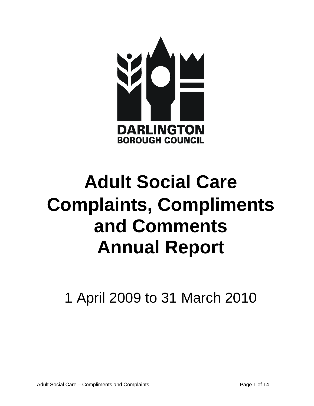

# **Adult Social Care Complaints, Compliments and Comments Annual Report**

1 April 2009 to 31 March 2010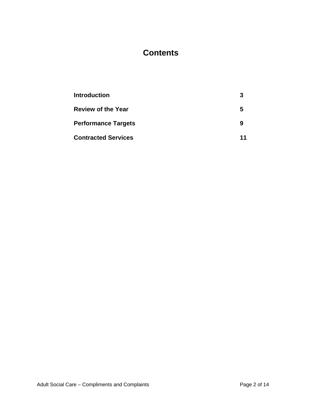# **Contents**

| <b>Introduction</b>        | З  |
|----------------------------|----|
| <b>Review of the Year</b>  | 5  |
| <b>Performance Targets</b> | 9  |
| <b>Contracted Services</b> | 11 |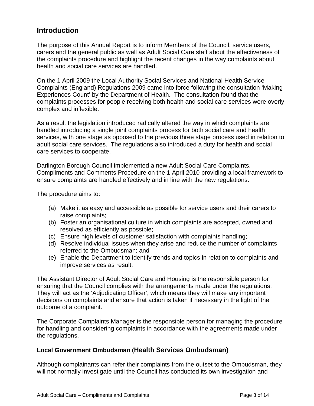## **Introduction**

The purpose of this Annual Report is to inform Members of the Council, service users, carers and the general public as well as Adult Social Care staff about the effectiveness of the complaints procedure and highlight the recent changes in the way complaints about health and social care services are handled.

On the 1 April 2009 the Local Authority Social Services and National Health Service Complaints (England) Regulations 2009 came into force following the consultation 'Making Experiences Count' by the Department of Health. The consultation found that the complaints processes for people receiving both health and social care services were overly complex and inflexible.

As a result the legislation introduced radically altered the way in which complaints are handled introducing a single joint complaints process for both social care and health services, with one stage as opposed to the previous three stage process used in relation to adult social care services. The regulations also introduced a duty for health and social care services to cooperate.

Darlington Borough Council implemented a new Adult Social Care Complaints, Compliments and Comments Procedure on the 1 April 2010 providing a local framework to ensure complaints are handled effectively and in line with the new regulations.

The procedure aims to:

- (a) Make it as easy and accessible as possible for service users and their carers to raise complaints;
- (b) Foster an organisational culture in which complaints are accepted, owned and resolved as efficiently as possible;
- (c) Ensure high levels of customer satisfaction with complaints handling;
- (d) Resolve individual issues when they arise and reduce the number of complaints referred to the Ombudsman; and
- (e) Enable the Department to identify trends and topics in relation to complaints and improve services as result.

The Assistant Director of Adult Social Care and Housing is the responsible person for ensuring that the Council complies with the arrangements made under the regulations. They will act as the 'Adjudicating Officer', which means they will make any important decisions on complaints and ensure that action is taken if necessary in the light of the outcome of a complaint.

The Corporate Complaints Manager is the responsible person for managing the procedure for handling and considering complaints in accordance with the agreements made under the regulations.

#### **Local Government Ombudsman (Health Services Ombudsman)**

Although complainants can refer their complaints from the outset to the Ombudsman, they will not normally investigate until the Council has conducted its own investigation and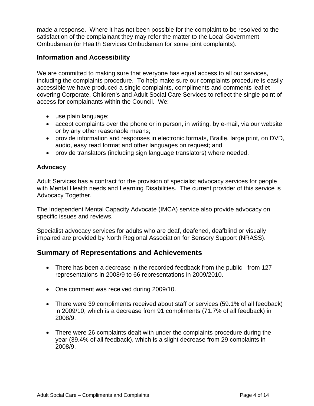made a response. Where it has not been possible for the complaint to be resolved to the satisfaction of the complainant they may refer the matter to the Local Government Ombudsman (or Health Services Ombudsman for some joint complaints).

## **Information and Accessibility**

We are committed to making sure that everyone has equal access to all our services, including the complaints procedure. To help make sure our complaints procedure is easily accessible we have produced a single complaints, compliments and comments leaflet covering Corporate, Children's and Adult Social Care Services to reflect the single point of access for complainants within the Council. We:

- use plain language;
- accept complaints over the phone or in person, in writing, by e-mail, via our website or by any other reasonable means;
- provide information and responses in electronic formats, Braille, large print, on DVD, audio, easy read format and other languages on request; and
- provide translators (including sign language translators) where needed.

#### **Advocacy**

Adult Services has a contract for the provision of specialist advocacy services for people with Mental Health needs and Learning Disabilities. The current provider of this service is Advocacy Together.

The Independent Mental Capacity Advocate (IMCA) service also provide advocacy on specific issues and reviews.

Specialist advocacy services for adults who are deaf, deafened, deafblind or visually impaired are provided by North Regional Association for Sensory Support (NRASS).

## **Summary of Representations and Achievements**

- There has been a decrease in the recorded feedback from the public from 127 representations in 2008/9 to 66 representations in 2009/2010.
- One comment was received during 2009/10.
- There were 39 compliments received about staff or services (59.1% of all feedback) in 2009/10, which is a decrease from 91 compliments (71.7% of all feedback) in 2008/9.
- There were 26 complaints dealt with under the complaints procedure during the year (39.4% of all feedback), which is a slight decrease from 29 complaints in 2008/9.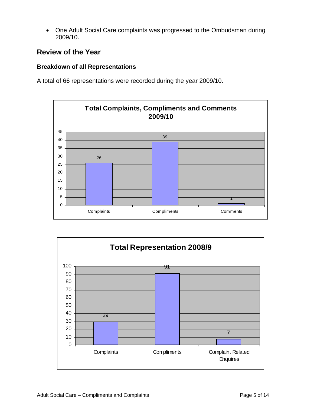• One Adult Social Care complaints was progressed to the Ombudsman during 2009/10.

## **Review of the Year**

#### **Breakdown of all Representations**

A total of 66 representations were recorded during the year 2009/10.



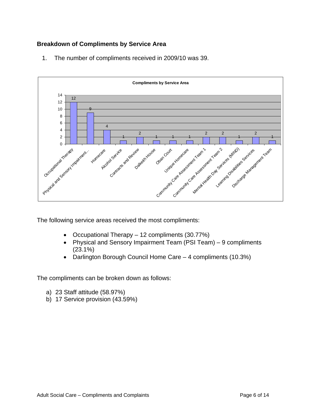### **Breakdown of Compliments by Service Area**

1. The number of compliments received in 2009/10 was 39.



The following service areas received the most compliments:

- Occupational Therapy 12 compliments (30.77%)
- Physical and Sensory Impairment Team (PSI Team) 9 compliments (23.1%)
- Darlington Borough Council Home Care 4 compliments (10.3%)

The compliments can be broken down as follows:

- a) 23 Staff attitude (58.97%)
- b) 17 Service provision (43.59%)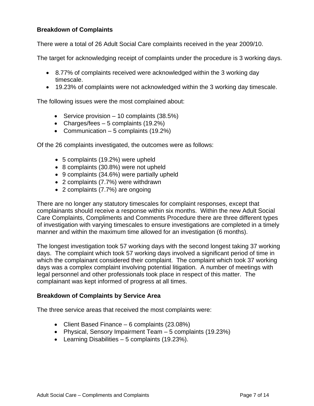#### **Breakdown of Complaints**

There were a total of 26 Adult Social Care complaints received in the year 2009/10.

The target for acknowledging receipt of complaints under the procedure is 3 working days.

- 8.77% of complaints received were acknowledged within the 3 working day timescale.
- 19.23% of complaints were not acknowledged within the 3 working day timescale.

The following issues were the most complained about:

- Service provision  $-10$  complaints (38.5%)
- Charges/fees 5 complaints (19.2%)
- Communication 5 complaints (19.2%)

Of the 26 complaints investigated, the outcomes were as follows:

- 5 complaints (19.2%) were upheld
- 8 complaints (30.8%) were not upheld
- 9 complaints (34.6%) were partially upheld
- 2 complaints (7.7%) were withdrawn
- 2 complaints (7.7%) are ongoing

There are no longer any statutory timescales for complaint responses, except that complainants should receive a response within six months. Within the new Adult Social Care Complaints, Compliments and Comments Procedure there are three different types of investigation with varying timescales to ensure investigations are completed in a timely manner and within the maximum time allowed for an investigation (6 months).

The longest investigation took 57 working days with the second longest taking 37 working days. The complaint which took 57 working days involved a significant period of time in which the complainant considered their complaint. The complaint which took 37 working days was a complex complaint involving potential litigation. A number of meetings with legal personnel and other professionals took place in respect of this matter. The complainant was kept informed of progress at all times.

#### **Breakdown of Complaints by Service Area**

The three service areas that received the most complaints were:

- Client Based Finance 6 complaints (23.08%)
- Physical, Sensory Impairment Team 5 complaints (19.23%)
- Learning Disabilities 5 complaints (19.23%).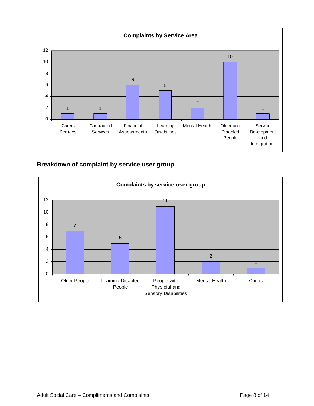

**Breakdown of complaint by service user group** 

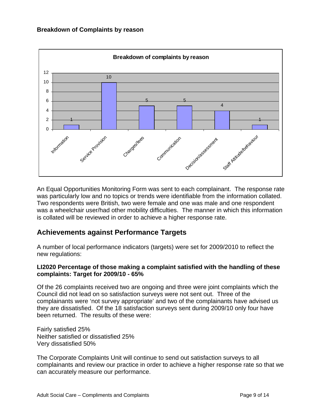

An Equal Opportunities Monitoring Form was sent to each complainant. The response rate was particularly low and no topics or trends were identifiable from the information collated. Two respondents were British, two were female and one was male and one respondent was a wheelchair user/had other mobility difficulties. The manner in which this information is collated will be reviewed in order to achieve a higher response rate.

## **Achievements against Performance Targets**

A number of local performance indicators (targets) were set for 2009/2010 to reflect the new regulations:

#### **LI2020 Percentage of those making a complaint satisfied with the handling of these complaints: Target for 2009/10 - 65%**

Of the 26 complaints received two are ongoing and three were joint complaints which the Council did not lead on so satisfaction surveys were not sent out. Three of the complainants were 'not survey appropriate' and two of the complainants have advised us they are dissatisfied. Of the 18 satisfaction surveys sent during 2009/10 only four have been returned. The results of these were:

Fairly satisfied 25% Neither satisfied or dissatisfied 25% Very dissatisfied 50%

The Corporate Complaints Unit will continue to send out satisfaction surveys to all complainants and review our practice in order to achieve a higher response rate so that we can accurately measure our performance.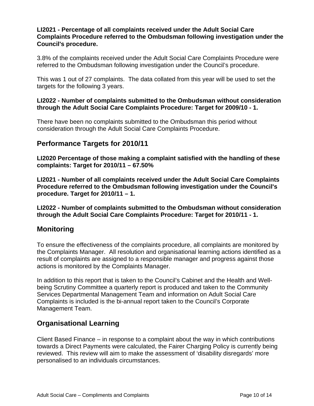#### **LI2021 - Percentage of all complaints received under the Adult Social Care Complaints Procedure referred to the Ombudsman following investigation under the Council's procedure.**

3.8% of the complaints received under the Adult Social Care Complaints Procedure were referred to the Ombudsman following investigation under the Council's procedure.

This was 1 out of 27 complaints. The data collated from this year will be used to set the targets for the following 3 years.

#### **LI2022 - Number of complaints submitted to the Ombudsman without consideration through the Adult Social Care Complaints Procedure: Target for 2009/10 - 1.**

There have been no complaints submitted to the Ombudsman this period without consideration through the Adult Social Care Complaints Procedure.

## **Performance Targets for 2010/11**

**LI2020 Percentage of those making a complaint satisfied with the handling of these complaints: Target for 2010/11 – 67.50%** 

**LI2021 - Number of all complaints received under the Adult Social Care Complaints Procedure referred to the Ombudsman following investigation under the Council's procedure. Target for 2010/11 – 1.** 

**LI2022 - Number of complaints submitted to the Ombudsman without consideration through the Adult Social Care Complaints Procedure: Target for 2010/11 - 1.**

## **Monitoring**

To ensure the effectiveness of the complaints procedure, all complaints are monitored by the Complaints Manager. All resolution and organisational learning actions identified as a result of complaints are assigned to a responsible manager and progress against those actions is monitored by the Complaints Manager.

In addition to this report that is taken to the Council's Cabinet and the Health and Wellbeing Scrutiny Committee a quarterly report is produced and taken to the Community Services Departmental Management Team and information on Adult Social Care Complaints is included is the bi-annual report taken to the Council's Corporate Management Team.

## **Organisational Learning**

Client Based Finance – in response to a complaint about the way in which contributions towards a Direct Payments were calculated, the Fairer Charging Policy is currently being reviewed. This review will aim to make the assessment of 'disability disregards' more personalised to an individuals circumstances.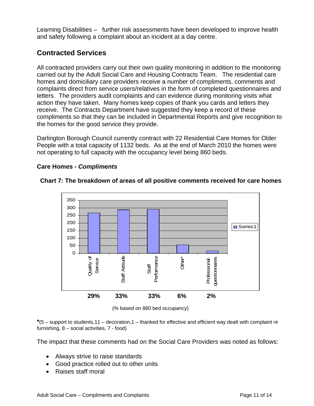Learning Disabilities – further risk assessments have been developed to improve health and safety following a complaint about an incident at a day centre.

## **Contracted Services**

All contracted providers carry out their own quality monitoring in addition to the monitoring carried out by the Adult Social Care and Housing Contracts Team. The residential care homes and domiciliary care providers receive a number of compliments, comments and complaints direct from service users/relatives in the form of completed questionnaires and letters. The providers audit complaints and can evidence during monitoring visits what action they have taken. Many homes keep copies of thank you cards and letters they receive. The Contracts Department have suggested they keep a record of these compliments so that they can be included in Departmental Reports and give recognition to the homes for the good service they provide.

Darlington Borough Council currently contract with 22 Residential Care Homes for Older People with a total capacity of 1132 beds. As at the end of March 2010 the homes were not operating to full capacity with the occupancy level being 860 beds.

#### **Care Homes -** *Compliments*



#### **Chart 7: The breakdown of areas of all positive comments received for care homes**

(% based on 860 bed occupancy)

**\***(5 – support to students,11 – decoration,1 – thanked for effective and efficient way dealt with complaint re furnishing, 8 – social activities, 7 - food)

The impact that these comments had on the Social Care Providers was noted as follows:

- Always strive to raise standards
- Good practice rolled out to other units
- Raises staff moral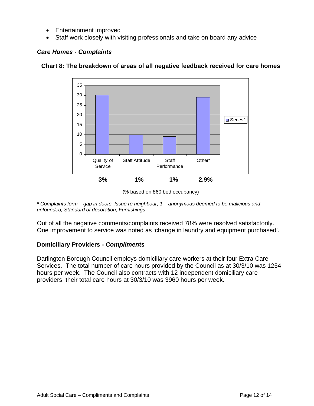- Entertainment improved
- Staff work closely with visiting professionals and take on board any advice



#### *Care Homes - Complaints*



*\* Complaints form – gap in doors, Issue re neighbour, 1 – anonymous deemed to be malicious and unfounded, Standard of decoration, Furnishings* 

Out of all the negative comments/complaints received 78% were resolved satisfactorily. One improvement to service was noted as 'change in laundry and equipment purchased'.

#### **Domiciliary Providers -** *Compliments*

Darlington Borough Council employs domiciliary care workers at their four Extra Care Services. The total number of care hours provided by the Council as at 30/3/10 was 1254 hours per week. The Council also contracts with 12 independent domiciliary care providers, their total care hours at 30/3/10 was 3960 hours per week.

<sup>(%</sup> based on 860 bed occupancy)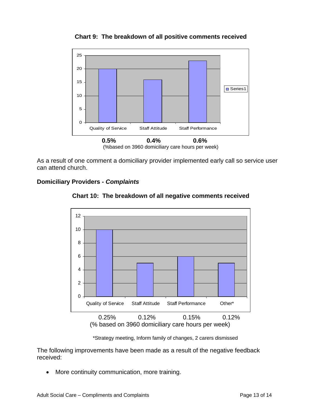

**Chart 9: The breakdown of all positive comments received** 

As a result of one comment a domiciliary provider implemented early call so service user can attend church.

#### **Domiciliary Providers -** *Complaints*



**Chart 10: The breakdown of all negative comments received** 

\*Strategy meeting, Inform family of changes, 2 carers dismissed

The following improvements have been made as a result of the negative feedback received:

• More continuity communication, more training.